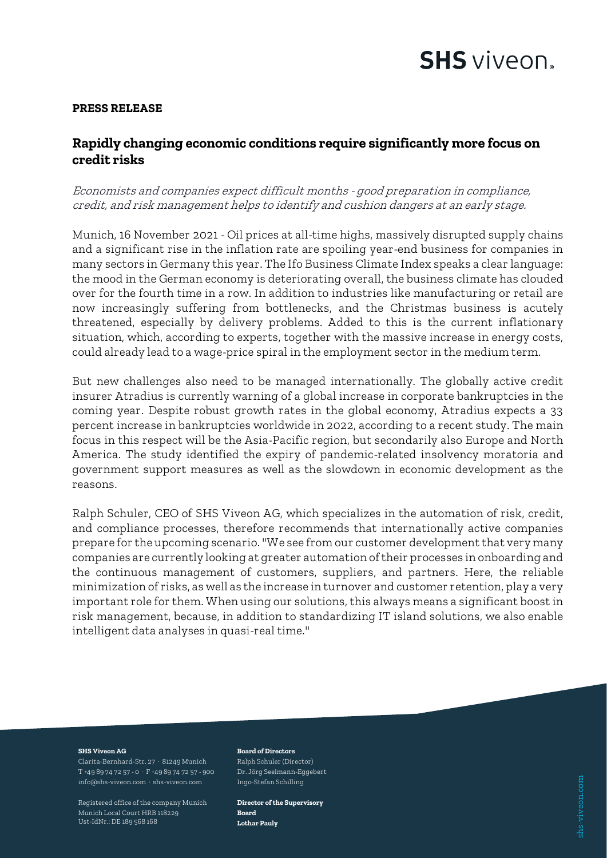# **SHS** viveon.

## **PRESS RELEASE**

# **Rapidly changing economic conditions require significantly more focus on credit risks**

# Economists and companies expect difficult months - good preparation in compliance, credit, and risk management helps to identify and cushion dangers at an early stage.

Munich, 16 November 2021 - Oil prices at all-time highs, massively disrupted supply chains and a significant rise in the inflation rate are spoiling year-end business for companies in many sectors in Germany this year. The Ifo Business Climate Index speaks a clear language: the mood in the German economy is deteriorating overall, the business climate has clouded over for the fourth time in a row. In addition to industries like manufacturing or retail are now increasingly suffering from bottlenecks, and the Christmas business is acutely threatened, especially by delivery problems. Added to this is the current inflationary situation, which, according to experts, together with the massive increase in energy costs, could already lead to a wage-price spiral in the employment sector in the medium term.

But new challenges also need to be managed internationally. The globally active credit insurer Atradius is currently warning of a global increase in corporate bankruptcies in the coming year. Despite robust growth rates in the global economy, Atradius expects a 33 percent increase in bankruptcies worldwide in 2022, according to a recent study. The main focus in this respect will be the Asia-Pacific region, but secondarily also Europe and North America. The study identified the expiry of pandemic-related insolvency moratoria and government support measures as well as the slowdown in economic development as the reasons.

Ralph Schuler, CEO of SHS Viveon AG, which specializes in the automation of risk, credit, and compliance processes, therefore recommends that internationally active companies prepare for the upcoming scenario. "We see from our customer development that very many companies are currently looking at greater automation of their processes in onboarding and the continuous management of customers, suppliers, and partners. Here, the reliable minimization of risks, as well as the increase in turnover and customer retention, play a very important role for them. When using our solutions, this always means a significant boost in risk management, because, in addition to standardizing IT island solutions, we also enable intelligent data analyses in quasi-real time."

#### **SHS Viveon AG**

Clarita-Bernhard-Str. 27 · 81249 Munich T +49 89 74 72 57 - 0 · F +49 89 74 72 57 - 900 info@shs-viveon.com · shs-viveon.com

Registered office of the company Munich Munich Local Court HRB 118229 Ust-IdNr.: DE 189 568 168

#### **Board of Directors**

Ralph Schuler (Director) Dr. Jörg Seelmann-Eggebert Ingo-Stefan Schilling

**Director of the Supervisory Board Lothar Pauly**